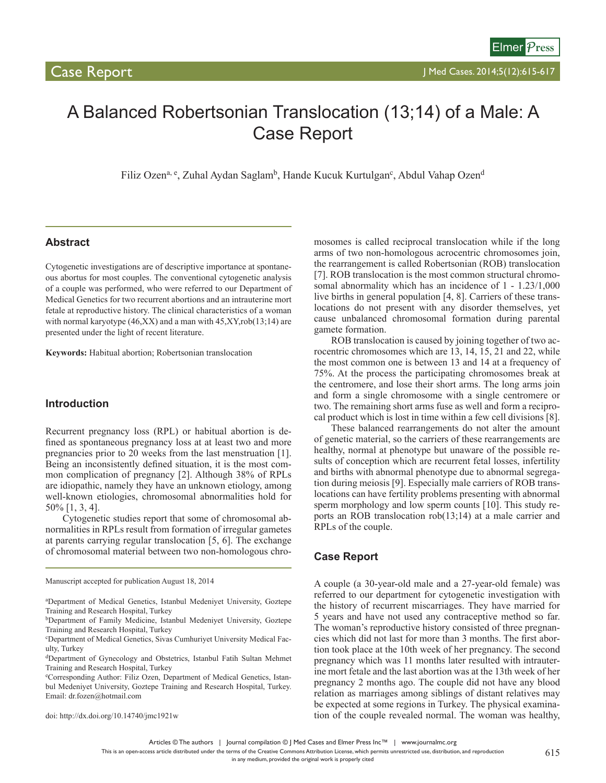# A Balanced Robertsonian Translocation (13;14) of a Male: A Case Report

Filiz Ozen<sup>a, e</sup>, Zuhal Aydan Saglam<sup>b</sup>, Hande Kucuk Kurtulgan<sup>c</sup>, Abdul Vahap Ozen<sup>d</sup>

# **Abstract**

Cytogenetic investigations are of descriptive importance at spontaneous abortus for most couples. The conventional cytogenetic analysis of a couple was performed, who were referred to our Department of Medical Genetics for two recurrent abortions and an intrauterine mort fetale at reproductive history. The clinical characteristics of a woman with normal karyotype  $(46, XX)$  and a man with  $45, XY, rob(13,14)$  are presented under the light of recent literature.

**Keywords:** Habitual abortion; Robertsonian translocation

#### **Introduction**

Recurrent pregnancy loss (RPL) or habitual abortion is defined as spontaneous pregnancy loss at at least two and more pregnancies prior to 20 weeks from the last menstruation [1]. Being an inconsistently defined situation, it is the most common complication of pregnancy [2]. Although 38% of RPLs are idiopathic, namely they have an unknown etiology, among well-known etiologies, chromosomal abnormalities hold for 50% [1, 3, 4].

Cytogenetic studies report that some of chromosomal abnormalities in RPLs result from formation of irregular gametes at parents carrying regular translocation [5, 6]. The exchange of chromosomal material between two non-homologous chro-

Manuscript accepted for publication August 18, 2014

doi: http://dx.doi.org/10.14740/jmc1921w

mosomes is called reciprocal translocation while if the long arms of two non-homologous acrocentric chromosomes join, the rearrangement is called Robertsonian (ROB) translocation [7]. ROB translocation is the most common structural chromosomal abnormality which has an incidence of  $1 - 1.23/1,000$ live births in general population [4, 8]. Carriers of these translocations do not present with any disorder themselves, yet cause unbalanced chromosomal formation during parental gamete formation.

ROB translocation is caused by joining together of two acrocentric chromosomes which are 13, 14, 15, 21 and 22, while the most common one is between 13 and 14 at a frequency of 75%. At the process the participating chromosomes break at the centromere, and lose their short arms. The long arms join and form a single chromosome with a single centromere or two. The remaining short arms fuse as well and form a reciprocal product which is lost in time within a few cell divisions [8].

These balanced rearrangements do not alter the amount of genetic material, so the carriers of these rearrangements are healthy, normal at phenotype but unaware of the possible results of conception which are recurrent fetal losses, infertility and births with abnormal phenotype due to abnormal segregation during meiosis [9]. Especially male carriers of ROB translocations can have fertility problems presenting with abnormal sperm morphology and low sperm counts [10]. This study reports an ROB translocation rob(13;14) at a male carrier and RPLs of the couple.

# **Case Report**

A couple (a 30-year-old male and a 27-year-old female) was referred to our department for cytogenetic investigation with the history of recurrent miscarriages. They have married for 5 years and have not used any contraceptive method so far. The woman's reproductive history consisted of three pregnancies which did not last for more than 3 months. The first abortion took place at the 10th week of her pregnancy. The second pregnancy which was 11 months later resulted with intrauterine mort fetale and the last abortion was at the 13th week of her pregnancy 2 months ago. The couple did not have any blood relation as marriages among siblings of distant relatives may be expected at some regions in Turkey. The physical examination of the couple revealed normal. The woman was healthy,

Articles © The authors | Journal compilation © J Med Cases and Elmer Press Inc™ | www.journalmc.org

This is an open-access article distributed under the terms of the Creative Commons Attribution License, which permits unrestricted use, distribution, and reproduction

a Department of Medical Genetics, Istanbul Medeniyet University, Goztepe Training and Research Hospital, Turkey

bDepartment of Family Medicine, Istanbul Medeniyet University, Goztepe Training and Research Hospital, Turkey

c Department of Medical Genetics, Sivas Cumhuriyet University Medical Faculty, Turkey

dDepartment of Gynecology and Obstetrics, Istanbul Fatih Sultan Mehmet Training and Research Hospital, Turkey

e Corresponding Author: Filiz Ozen, Department of Medical Genetics, Istanbul Medeniyet University, Goztepe Training and Research Hospital, Turkey. Email: dr.fozen@hotmail.com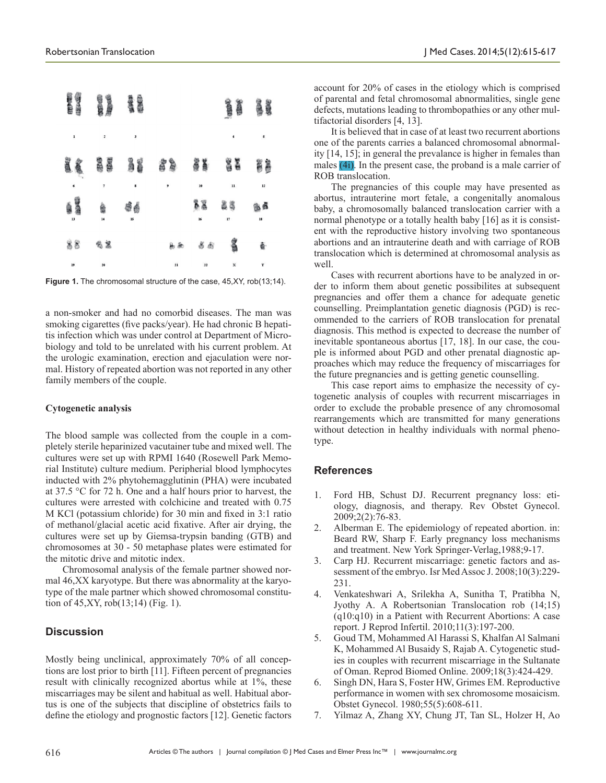

Figure 1. The chromosomal structure of the case, 45, XY, rob(13;14).

a non-smoker and had no comorbid diseases. The man was smoking cigarettes (five packs/year). He had chronic B hepatitis infection which was under control at Department of Microbiology and told to be unrelated with his current problem. At the urologic examination, erection and ejaculation were normal. History of repeated abortion was not reported in any other family members of the couple.

#### **Cytogenetic analysis**

The blood sample was collected from the couple in a completely sterile heparinized vacutainer tube and mixed well. The cultures were set up with RPMI 1640 (Rosewell Park Memorial Institute) culture medium. Peripherial blood lymphocytes inducted with 2% phytohemagglutinin (PHA) were incubated at 37.5 °C for 72 h. One and a half hours prior to harvest, the cultures were arrested with colchicine and treated with 0.75 M KCl (potassium chloride) for 30 min and fixed in 3:1 ratio of methanol/glacial acetic acid fixative. After air drying, the cultures were set up by Giemsa-trypsin banding (GTB) and chromosomes at 30 - 50 metaphase plates were estimated for the mitotic drive and mitotic index.

Chromosomal analysis of the female partner showed normal 46,XX karyotype. But there was abnormality at the karyotype of the male partner which showed chromosomal constitution of 45,XY, rob(13;14) (Fig. 1).

# **Discussion**

Mostly being unclinical, approximately 70% of all conceptions are lost prior to birth [11]. Fifteen percent of pregnancies result with clinically recognized abortus while at 1%, these miscarriages may be silent and habitual as well. Habitual abortus is one of the subjects that discipline of obstetrics fails to define the etiology and prognostic factors [12]. Genetic factors

account for 20% of cases in the etiology which is comprised of parental and fetal chromosomal abnormalities, single gene defects, mutations leading to thrombopathies or any other multifactorial disorders [4, 13].

It is believed that in case of at least two recurrent abortions one of the parents carries a balanced chromosomal abnormality [14, 15]; in general the prevalance is higher in females than males (4i). In the present case, the proband is a male carrier of ROB translocation.

The pregnancies of this couple may have presented as abortus, intrauterine mort fetale, a congenitally anomalous baby, a chromosomally balanced translocation carrier with a normal phenotype or a totally health baby [16] as it is consistent with the reproductive history involving two spontaneous abortions and an intrauterine death and with carriage of ROB translocation which is determined at chromosomal analysis as well.

Cases with recurrent abortions have to be analyzed in order to inform them about genetic possibilites at subsequent pregnancies and offer them a chance for adequate genetic counselling. Preimplantation genetic diagnosis (PGD) is recommended to the carriers of ROB translocation for prenatal diagnosis. This method is expected to decrease the number of inevitable spontaneous abortus [17, 18]. In our case, the couple is informed about PGD and other prenatal diagnostic approaches which may reduce the frequency of miscarriages for the future pregnancies and is getting genetic counselling.

This case report aims to emphasize the necessity of cytogenetic analysis of couples with recurrent miscarriages in order to exclude the probable presence of any chromosomal rearrangements which are transmitted for many generations without detection in healthy individuals with normal phenotype.

#### **References**

- 1. Ford HB, Schust DJ. Recurrent pregnancy loss: etiology, diagnosis, and therapy. Rev Obstet Gynecol. 2009;2(2):76-83.
- 2. Alberman E. The epidemiology of repeated abortion. in: Beard RW, Sharp F. Early pregnancy loss mechanisms and treatment. New York Springer-Verlag,1988;9-17.
- 3. Carp HJ. Recurrent miscarriage: genetic factors and assessment of the embryo. Isr Med Assoc J. 2008;10(3):229- 231.
- 4. Venkateshwari A, Srilekha A, Sunitha T, Pratibha N, Jyothy A. A Robertsonian Translocation rob (14;15) (q10:q10) in a Patient with Recurrent Abortions: A case report. J Reprod Infertil. 2010;11(3):197-200.
- 5. Goud TM, Mohammed Al Harassi S, Khalfan Al Salmani K, Mohammed Al Busaidy S, Rajab A. Cytogenetic studies in couples with recurrent miscarriage in the Sultanate of Oman. Reprod Biomed Online. 2009;18(3):424-429.
- 6. Singh DN, Hara S, Foster HW, Grimes EM. Reproductive performance in women with sex chromosome mosaicism. Obstet Gynecol. 1980;55(5):608-611.
- 7. Yilmaz A, Zhang XY, Chung JT, Tan SL, Holzer H, Ao